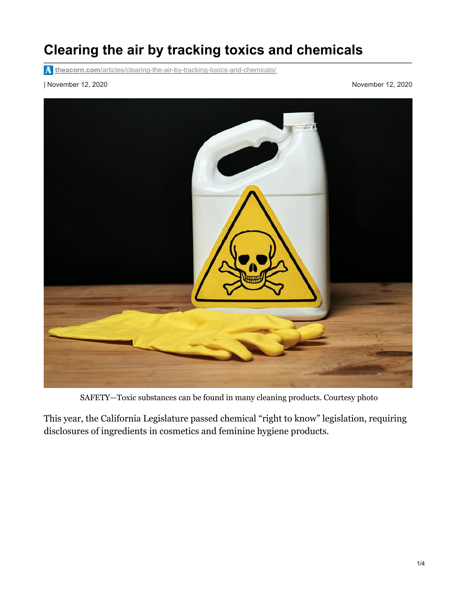## **Clearing the air by tracking toxics and chemicals**

**theacorn.com**[/articles/clearing-the-air-by-tracking-toxics-and-chemicals/](https://www.theacorn.com/articles/clearing-the-air-by-tracking-toxics-and-chemicals/)

| November 12, 2020 November 12, 2020



SAFETY—Toxic substances can be found in many cleaning products. Courtesy photo

This year, the California Legislature passed chemical "right to know" legislation, requiring disclosures of ingredients in cosmetics and feminine hygiene products.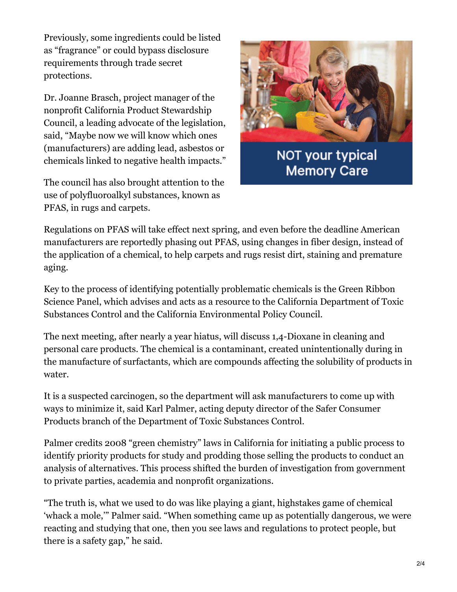Previously, some ingredients could be listed as "fragrance" or could bypass disclosure requirements through trade secret protections.

Dr. Joanne Brasch, project manager of the nonprofit California Product Stewardship Council, a leading advocate of the legislation, said, "Maybe now we will know which ones (manufacturers) are adding lead, asbestos or chemicals linked to negative health impacts."

The council has also brought attention to the use of polyfluoroalkyl substances, known as PFAS, in rugs and carpets.



**Memory Care** 

Regulations on PFAS will take effect next spring, and even before the deadline American manufacturers are reportedly phasing out PFAS, using changes in fiber design, instead of the application of a chemical, to help carpets and rugs resist dirt, staining and premature aging.

Key to the process of identifying potentially problematic chemicals is the Green Ribbon Science Panel, which advises and acts as a resource to the California Department of Toxic Substances Control and the California Environmental Policy Council.

The next meeting, after nearly a year hiatus, will discuss 1,4-Dioxane in cleaning and personal care products. The chemical is a contaminant, created unintentionally during in the manufacture of surfactants, which are compounds affecting the solubility of products in water.

It is a suspected carcinogen, so the department will ask manufacturers to come up with ways to minimize it, said Karl Palmer, acting deputy director of the Safer Consumer Products branch of the Department of Toxic Substances Control.

Palmer credits 2008 "green chemistry" laws in California for initiating a public process to identify priority products for study and prodding those selling the products to conduct an analysis of alternatives. This process shifted the burden of investigation from government to private parties, academia and nonprofit organizations.

"The truth is, what we used to do was like playing a giant, highstakes game of chemical 'whack a mole,'" Palmer said. "When something came up as potentially dangerous, we were reacting and studying that one, then you see laws and regulations to protect people, but there is a safety gap," he said.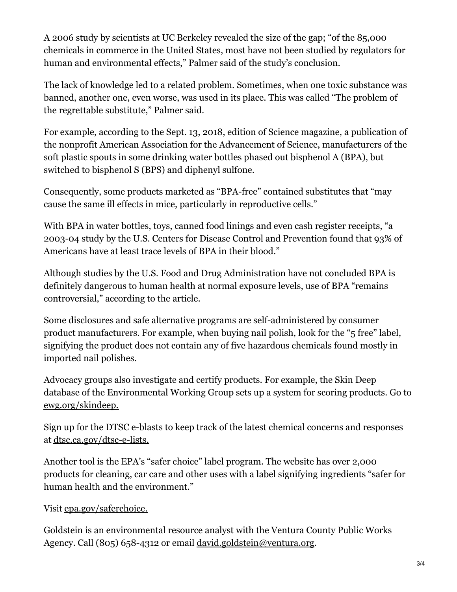A 2006 study by scientists at UC Berkeley revealed the size of the gap; "of the 85,000 chemicals in commerce in the United States, most have not been studied by regulators for human and environmental effects," Palmer said of the study's conclusion.

The lack of knowledge led to a related problem. Sometimes, when one toxic substance was banned, another one, even worse, was used in its place. This was called "The problem of the regrettable substitute," Palmer said.

For example, according to the Sept. 13, 2018, edition of Science magazine, a publication of the nonprofit American Association for the Advancement of Science, manufacturers of the soft plastic spouts in some drinking water bottles phased out bisphenol A (BPA), but switched to bisphenol S (BPS) and diphenyl sulfone.

Consequently, some products marketed as "BPA-free" contained substitutes that "may cause the same ill effects in mice, particularly in reproductive cells."

With BPA in water bottles, toys, canned food linings and even cash register receipts, "a 2003-04 study by the U.S. Centers for Disease Control and Prevention found that 93% of Americans have at least trace levels of BPA in their blood."

Although studies by the U.S. Food and Drug Administration have not concluded BPA is definitely dangerous to human health at normal exposure levels, use of BPA "remains controversial," according to the article.

Some disclosures and safe alternative programs are self-administered by consumer product manufacturers. For example, when buying nail polish, look for the "5 free" label, signifying the product does not contain any of five hazardous chemicals found mostly in imported nail polishes.

Advocacy groups also investigate and certify products. For example, the Skin Deep database of the Environmental Working Group sets up a system for scoring products. Go to [ewg.org/skindeep.](http://ewg.org/skindeep.)

Sign up for the DTSC e-blasts to keep track of the latest chemical concerns and responses at [dtsc.ca.gov/dtsc-e-lists.](http://dtsc.ca.gov/dtsc-e-lists.)

Another tool is the EPA's "safer choice" label program. The website has over 2,000 products for cleaning, car care and other uses with a label signifying ingredients "safer for human health and the environment."

## Visit [epa.gov/saferchoice.](http://epa.gov/saferchoice.)

Goldstein is an environmental resource analyst with the Ventura County Public Works Agency. Call (805) 658-4312 or email [david.goldstein@ventura.org](mailto:david.goldstein@ventura.org).